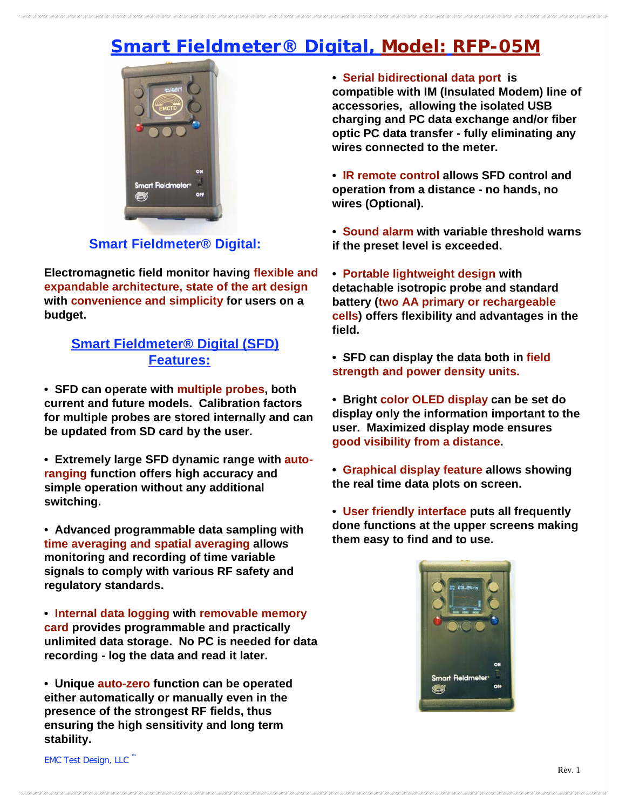# **Smart Fieldmeter® Digital, Model: RFP-05M**



### **Smart Fieldmeter® Digital:**

**Electromagnetic field monitor having flexible and expandable architecture, state of the art design with convenience and simplicity for users on a budget.**

#### **Smart Fieldmeter® Digital (SFD) Features:**

**• SFD can operate with multiple probes, both current and future models. Calibration factors for multiple probes are stored internally and can be updated from SD card by the user.** 

**• Extremely large SFD dynamic range with autoranging function offers high accuracy and simple operation without any additional switching.**

**• Advanced programmable data sampling with time averaging and spatial averaging allows monitoring and recording of time variable signals to comply with various RF safety and regulatory standards.**

**• Internal data logging with removable memory card provides programmable and practically unlimited data storage. No PC is needed for data recording - log the data and read it later.**

**• Unique auto-zero function can be operated either automatically or manually even in the presence of the strongest RF fields, thus ensuring the high sensitivity and long term stability.**

**• Serial bidirectional data port is compatible with IM (Insulated Modem) line of accessories, allowing the isolated USB charging and PC data exchange and/or fiber optic PC data transfer - fully eliminating any wires connected to the meter.**

**• IR remote control allows SFD control and operation from a distance - no hands, no wires (Optional).**

**• Sound alarm with variable threshold warns if the preset level is exceeded.**

**• Portable lightweight design with detachable isotropic probe and standard battery (two AA primary or rechargeable cells) offers flexibility and advantages in the field.**

**• SFD can display the data both in field strength and power density units.**

**• Bright color OLED display can be set do display only the information important to the user. Maximized display mode ensures good visibility from a distance.**

**• Graphical display feature allows showing the real time data plots on screen.**

**• User friendly interface puts all frequently done functions at the upper screens making them easy to find and to use.**



EMC Test Design, LLC ™